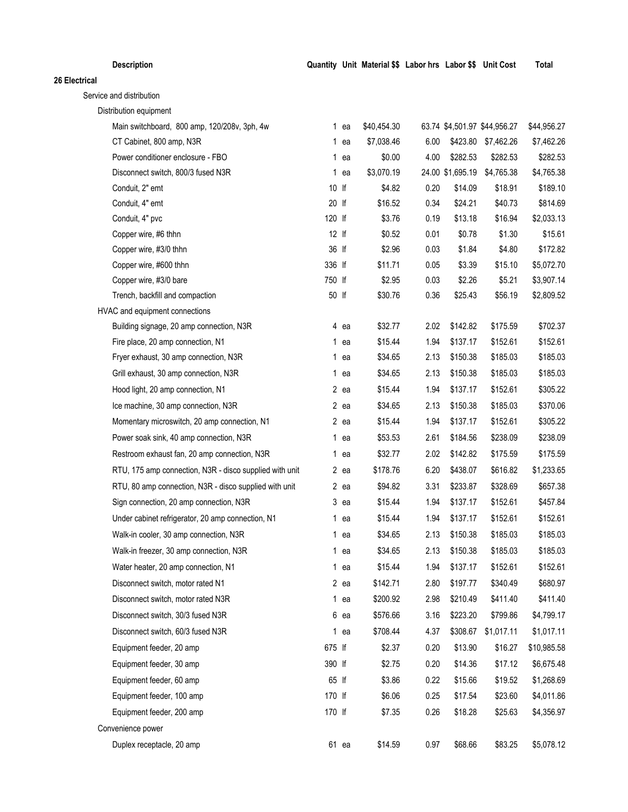| <b>Description</b>                                      |        |        | Quantity Unit Material \$\$ Labor hrs Labor \$\$ Unit Cost |      |                  |                              | <b>Total</b> |
|---------------------------------------------------------|--------|--------|------------------------------------------------------------|------|------------------|------------------------------|--------------|
| 26 Electrical                                           |        |        |                                                            |      |                  |                              |              |
| Service and distribution                                |        |        |                                                            |      |                  |                              |              |
| Distribution equipment                                  |        |        |                                                            |      |                  |                              |              |
| Main switchboard, 800 amp, 120/208v, 3ph, 4w            |        | 1 ea   | \$40,454.30                                                |      |                  | 63.74 \$4,501.97 \$44,956.27 | \$44,956.27  |
| CT Cabinet, 800 amp, N3R                                |        | 1 ea   | \$7,038.46                                                 | 6.00 | \$423.80         | \$7,462.26                   | \$7,462.26   |
| Power conditioner enclosure - FBO                       |        | 1 ea   | \$0.00                                                     | 4.00 | \$282.53         | \$282.53                     | \$282.53     |
| Disconnect switch, 800/3 fused N3R                      |        | 1 ea   | \$3,070.19                                                 |      | 24.00 \$1,695.19 | \$4,765.38                   | \$4,765.38   |
| Conduit, 2" emt                                         | 10 If  |        | \$4.82                                                     | 0.20 | \$14.09          | \$18.91                      | \$189.10     |
| Conduit, 4" emt                                         | 20 lf  |        | \$16.52                                                    | 0.34 | \$24.21          | \$40.73                      | \$814.69     |
| Conduit, 4" pvc                                         | 120 lf |        | \$3.76                                                     | 0.19 | \$13.18          | \$16.94                      | \$2,033.13   |
| Copper wire, #6 thhn                                    | 12 lf  |        | \$0.52                                                     | 0.01 | \$0.78           | \$1.30                       | \$15.61      |
| Copper wire, #3/0 thhn                                  | 36 lf  |        | \$2.96                                                     | 0.03 | \$1.84           | \$4.80                       | \$172.82     |
| Copper wire, #600 thhn                                  | 336 lf |        | \$11.71                                                    | 0.05 | \$3.39           | \$15.10                      | \$5,072.70   |
| Copper wire, #3/0 bare                                  | 750 lf |        | \$2.95                                                     | 0.03 | \$2.26           | \$5.21                       | \$3,907.14   |
| Trench, backfill and compaction                         | 50 lf  |        | \$30.76                                                    | 0.36 | \$25.43          | \$56.19                      | \$2,809.52   |
| HVAC and equipment connections                          |        |        |                                                            |      |                  |                              |              |
| Building signage, 20 amp connection, N3R                |        | 4 ea   | \$32.77                                                    | 2.02 | \$142.82         | \$175.59                     | \$702.37     |
| Fire place, 20 amp connection, N1                       |        | 1 ea   | \$15.44                                                    | 1.94 | \$137.17         | \$152.61                     | \$152.61     |
| Fryer exhaust, 30 amp connection, N3R                   |        | $1$ ea | \$34.65                                                    | 2.13 | \$150.38         | \$185.03                     | \$185.03     |
| Grill exhaust, 30 amp connection, N3R                   |        | 1 ea   | \$34.65                                                    | 2.13 | \$150.38         | \$185.03                     | \$185.03     |
| Hood light, 20 amp connection, N1                       |        | $2$ ea | \$15.44                                                    | 1.94 | \$137.17         | \$152.61                     | \$305.22     |
| Ice machine, 30 amp connection, N3R                     |        | $2$ ea | \$34.65                                                    | 2.13 | \$150.38         | \$185.03                     | \$370.06     |
| Momentary microswitch, 20 amp connection, N1            |        | 2 ea   | \$15.44                                                    | 1.94 | \$137.17         | \$152.61                     | \$305.22     |
| Power soak sink, 40 amp connection, N3R                 |        | 1 ea   | \$53.53                                                    | 2.61 | \$184.56         | \$238.09                     | \$238.09     |
| Restroom exhaust fan, 20 amp connection, N3R            |        | 1 ea   | \$32.77                                                    | 2.02 | \$142.82         | \$175.59                     | \$175.59     |
| RTU, 175 amp connection, N3R - disco supplied with unit |        | 2 ea   | \$178.76                                                   | 6.20 | \$438.07         | \$616.82                     | \$1,233.65   |
| RTU, 80 amp connection, N3R - disco supplied with unit  |        | 2 ea   | \$94.82                                                    | 3.31 | \$233.87         | \$328.69                     | \$657.38     |
| Sign connection, 20 amp connection, N3R                 |        | 3 ea   | \$15.44                                                    | 1.94 | \$137.17         | \$152.61                     | \$457.84     |
| Under cabinet refrigerator, 20 amp connection, N1       |        | $1$ ea | \$15.44                                                    | 1.94 | \$137.17         | \$152.61                     | \$152.61     |
| Walk-in cooler, 30 amp connection, N3R                  |        | $1$ ea | \$34.65                                                    | 2.13 | \$150.38         | \$185.03                     | \$185.03     |
| Walk-in freezer, 30 amp connection, N3R                 |        | 1 ea   | \$34.65                                                    | 2.13 | \$150.38         | \$185.03                     | \$185.03     |
| Water heater, 20 amp connection, N1                     |        | 1 ea   | \$15.44                                                    | 1.94 | \$137.17         | \$152.61                     | \$152.61     |
| Disconnect switch, motor rated N1                       |        | 2 ea   | \$142.71                                                   | 2.80 | \$197.77         | \$340.49                     | \$680.97     |
| Disconnect switch, motor rated N3R                      |        | 1 ea   | \$200.92                                                   | 2.98 | \$210.49         | \$411.40                     | \$411.40     |
| Disconnect switch, 30/3 fused N3R                       |        | 6 ea   | \$576.66                                                   | 3.16 | \$223.20         | \$799.86                     | \$4,799.17   |
| Disconnect switch, 60/3 fused N3R                       |        | 1 ea   | \$708.44                                                   | 4.37 | \$308.67         | \$1,017.11                   | \$1,017.11   |
| Equipment feeder, 20 amp                                | 675 lf |        | \$2.37                                                     | 0.20 | \$13.90          | \$16.27                      | \$10,985.58  |
| Equipment feeder, 30 amp                                | 390 lf |        | \$2.75                                                     | 0.20 | \$14.36          | \$17.12                      | \$6,675.48   |
| Equipment feeder, 60 amp                                | 65 lf  |        | \$3.86                                                     | 0.22 | \$15.66          | \$19.52                      | \$1,268.69   |
| Equipment feeder, 100 amp                               | 170 lf |        | \$6.06                                                     | 0.25 | \$17.54          | \$23.60                      | \$4,011.86   |
| Equipment feeder, 200 amp                               | 170 lf |        | \$7.35                                                     | 0.26 | \$18.28          | \$25.63                      | \$4,356.97   |
| Convenience power                                       |        |        |                                                            |      |                  |                              |              |
| Duplex receptacle, 20 amp                               |        | 61 ea  | \$14.59                                                    | 0.97 | \$68.66          | \$83.25                      | \$5,078.12   |
|                                                         |        |        |                                                            |      |                  |                              |              |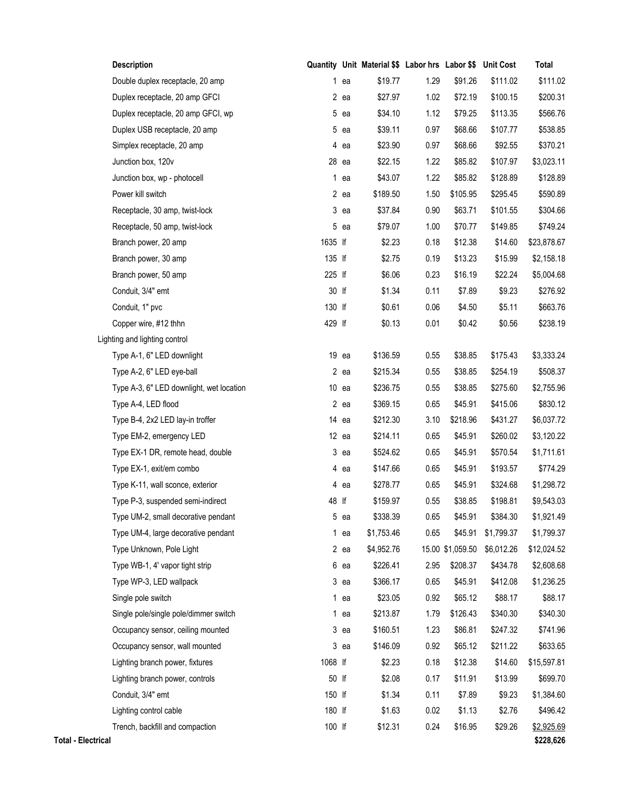|                           | <b>Description</b>                       |         |         | Quantity Unit Material \$\$ Labor hrs Labor \$\$ |      |                  | <b>Unit Cost</b> | Total       |
|---------------------------|------------------------------------------|---------|---------|--------------------------------------------------|------|------------------|------------------|-------------|
|                           | Double duplex receptacle, 20 amp         |         | $1$ ea  | \$19.77                                          | 1.29 | \$91.26          | \$111.02         | \$111.02    |
|                           | Duplex receptacle, 20 amp GFCI           |         | 2 ea    | \$27.97                                          | 1.02 | \$72.19          | \$100.15         | \$200.31    |
|                           | Duplex receptacle, 20 amp GFCI, wp       |         | 5 ea    | \$34.10                                          | 1.12 | \$79.25          | \$113.35         | \$566.76    |
|                           | Duplex USB receptacle, 20 amp            |         | 5 ea    | \$39.11                                          | 0.97 | \$68.66          | \$107.77         | \$538.85    |
|                           | Simplex receptacle, 20 amp               |         | 4 ea    | \$23.90                                          | 0.97 | \$68.66          | \$92.55          | \$370.21    |
|                           | Junction box, 120v                       |         | 28 ea   | \$22.15                                          | 1.22 | \$85.82          | \$107.97         | \$3,023.11  |
|                           | Junction box, wp - photocell             |         | $1$ ea  | \$43.07                                          | 1.22 | \$85.82          | \$128.89         | \$128.89    |
|                           | Power kill switch                        |         | $2$ ea  | \$189.50                                         | 1.50 | \$105.95         | \$295.45         | \$590.89    |
|                           | Receptacle, 30 amp, twist-lock           |         | $3$ ea  | \$37.84                                          | 0.90 | \$63.71          | \$101.55         | \$304.66    |
|                           | Receptacle, 50 amp, twist-lock           |         | 5 ea    | \$79.07                                          | 1.00 | \$70.77          | \$149.85         | \$749.24    |
|                           | Branch power, 20 amp                     | 1635 lf |         | \$2.23                                           | 0.18 | \$12.38          | \$14.60          | \$23,878.67 |
|                           | Branch power, 30 amp                     | 135 lf  |         | \$2.75                                           | 0.19 | \$13.23          | \$15.99          | \$2,158.18  |
|                           | Branch power, 50 amp                     | 225 lf  |         | \$6.06                                           | 0.23 | \$16.19          | \$22.24          | \$5,004.68  |
|                           | Conduit, 3/4" emt                        | 30 lf   |         | \$1.34                                           | 0.11 | \$7.89           | \$9.23           | \$276.92    |
|                           | Conduit, 1" pvc                          | 130 lf  |         | \$0.61                                           | 0.06 | \$4.50           | \$5.11           | \$663.76    |
|                           | Copper wire, #12 thhn                    | 429 lf  |         | \$0.13                                           | 0.01 | \$0.42           | \$0.56           | \$238.19    |
|                           | Lighting and lighting control            |         |         |                                                  |      |                  |                  |             |
|                           | Type A-1, 6" LED downlight               |         | 19 ea   | \$136.59                                         | 0.55 | \$38.85          | \$175.43         | \$3,333.24  |
|                           | Type A-2, 6" LED eye-ball                |         | 2 ea    | \$215.34                                         | 0.55 | \$38.85          | \$254.19         | \$508.37    |
|                           | Type A-3, 6" LED downlight, wet location |         | $10$ ea | \$236.75                                         | 0.55 | \$38.85          | \$275.60         | \$2,755.96  |
|                           | Type A-4, LED flood                      |         | $2$ ea  | \$369.15                                         | 0.65 | \$45.91          | \$415.06         | \$830.12    |
|                           | Type B-4, 2x2 LED lay-in troffer         |         | 14 ea   | \$212.30                                         | 3.10 | \$218.96         | \$431.27         | \$6,037.72  |
|                           | Type EM-2, emergency LED                 |         | $12$ ea | \$214.11                                         | 0.65 | \$45.91          | \$260.02         | \$3,120.22  |
|                           | Type EX-1 DR, remote head, double        |         | 3 ea    | \$524.62                                         | 0.65 | \$45.91          | \$570.54         | \$1,711.61  |
|                           | Type EX-1, exit/em combo                 |         | 4 ea    | \$147.66                                         | 0.65 | \$45.91          | \$193.57         | \$774.29    |
|                           | Type K-11, wall sconce, exterior         |         | 4 ea    | \$278.77                                         | 0.65 | \$45.91          | \$324.68         | \$1,298.72  |
|                           | Type P-3, suspended semi-indirect        | 48 lf   |         | \$159.97                                         | 0.55 | \$38.85          | \$198.81         | \$9,543.03  |
|                           | Type UM-2, small decorative pendant      |         | 5 ea    | \$338.39                                         | 0.65 | \$45.91          | \$384.30         | \$1,921.49  |
|                           | Type UM-4, large decorative pendant      |         | $1$ ea  | \$1,753.46                                       | 0.65 | \$45.91          | \$1,799.37       | \$1,799.37  |
|                           | Type Unknown, Pole Light                 |         | 2 ea    | \$4,952.76                                       |      | 15.00 \$1,059.50 | \$6,012.26       | \$12,024.52 |
|                           | Type WB-1, 4' vapor tight strip          |         | 6 ea    | \$226.41                                         | 2.95 | \$208.37         | \$434.78         | \$2,608.68  |
|                           | Type WP-3, LED wallpack                  |         | 3 ea    | \$366.17                                         | 0.65 | \$45.91          | \$412.08         | \$1,236.25  |
|                           | Single pole switch                       |         | 1 ea    | \$23.05                                          | 0.92 | \$65.12          | \$88.17          | \$88.17     |
|                           | Single pole/single pole/dimmer switch    |         | $1$ ea  | \$213.87                                         | 1.79 | \$126.43         | \$340.30         | \$340.30    |
|                           | Occupancy sensor, ceiling mounted        |         | $3$ ea  | \$160.51                                         | 1.23 | \$86.81          | \$247.32         | \$741.96    |
|                           | Occupancy sensor, wall mounted           |         | $3$ ea  | \$146.09                                         | 0.92 | \$65.12          | \$211.22         | \$633.65    |
|                           | Lighting branch power, fixtures          | 1068 lf |         | \$2.23                                           | 0.18 | \$12.38          | \$14.60          | \$15,597.81 |
|                           | Lighting branch power, controls          | 50 lf   |         | \$2.08                                           | 0.17 | \$11.91          | \$13.99          | \$699.70    |
|                           | Conduit, 3/4" emt                        | 150 lf  |         | \$1.34                                           | 0.11 | \$7.89           | \$9.23           | \$1,384.60  |
|                           | Lighting control cable                   | 180 lf  |         | \$1.63                                           | 0.02 | \$1.13           | \$2.76           | \$496.42    |
|                           | Trench, backfill and compaction          | 100 lf  |         | \$12.31                                          | 0.24 | \$16.95          | \$29.26          | \$2,925.69  |
| <b>Total - Electrical</b> |                                          |         |         |                                                  |      |                  |                  | \$228,626   |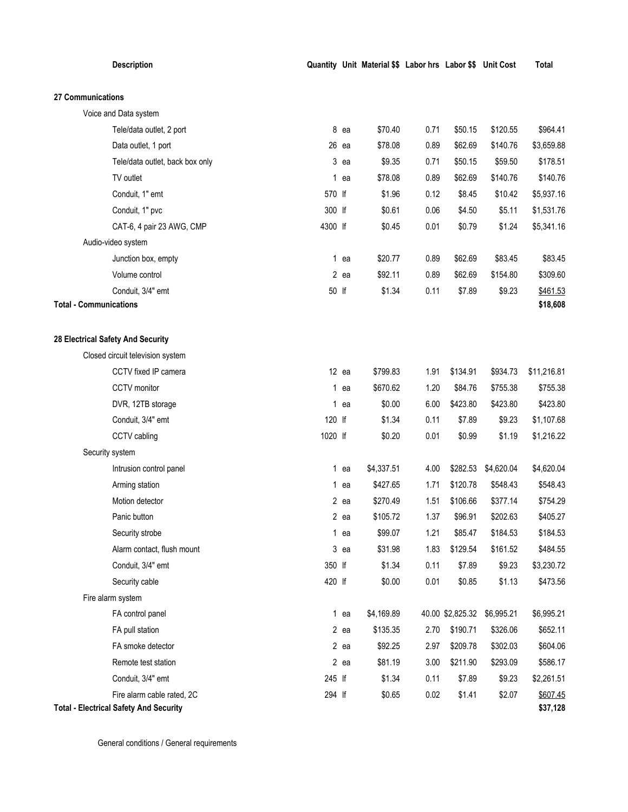| <b>Description</b>                                                          |         |         | Quantity Unit Material \$\$ Labor hrs Labor \$\$ Unit Cost |      |                  |            | Total                |
|-----------------------------------------------------------------------------|---------|---------|------------------------------------------------------------|------|------------------|------------|----------------------|
| 27 Communications                                                           |         |         |                                                            |      |                  |            |                      |
| Voice and Data system                                                       |         |         |                                                            |      |                  |            |                      |
| Tele/data outlet, 2 port                                                    |         | 8 ea    | \$70.40                                                    | 0.71 | \$50.15          | \$120.55   | \$964.41             |
| Data outlet, 1 port                                                         |         | $26$ ea | \$78.08                                                    | 0.89 | \$62.69          | \$140.76   | \$3,659.88           |
| Tele/data outlet, back box only                                             |         | $3$ ea  | \$9.35                                                     | 0.71 | \$50.15          | \$59.50    | \$178.51             |
| TV outlet                                                                   | 1       | ea      | \$78.08                                                    | 0.89 | \$62.69          | \$140.76   | \$140.76             |
| Conduit, 1" emt                                                             | 570 lf  |         | \$1.96                                                     | 0.12 | \$8.45           | \$10.42    | \$5,937.16           |
| Conduit, 1" pvc                                                             | 300 lf  |         | \$0.61                                                     | 0.06 | \$4.50           | \$5.11     | \$1,531.76           |
| CAT-6, 4 pair 23 AWG, CMP                                                   | 4300 lf |         | \$0.45                                                     | 0.01 | \$0.79           | \$1.24     | \$5,341.16           |
| Audio-video system                                                          |         |         |                                                            |      |                  |            |                      |
| Junction box, empty                                                         |         | $1$ ea  | \$20.77                                                    | 0.89 | \$62.69          | \$83.45    | \$83.45              |
| Volume control                                                              |         | $2$ ea  | \$92.11                                                    | 0.89 | \$62.69          | \$154.80   | \$309.60             |
| Conduit, 3/4" emt                                                           | 50 lf   |         | \$1.34                                                     | 0.11 | \$7.89           | \$9.23     | \$461.53             |
| <b>Total - Communications</b>                                               |         |         |                                                            |      |                  |            | \$18,608             |
| 28 Electrical Safety And Security                                           |         |         |                                                            |      |                  |            |                      |
| Closed circuit television system                                            |         |         |                                                            |      |                  |            |                      |
| CCTV fixed IP camera                                                        |         | $12$ ea | \$799.83                                                   | 1.91 | \$134.91         | \$934.73   | \$11,216.81          |
| CCTV monitor                                                                |         | $1$ ea  | \$670.62                                                   | 1.20 | \$84.76          | \$755.38   | \$755.38             |
| DVR, 12TB storage                                                           |         | 1 ea    | \$0.00                                                     | 6.00 | \$423.80         | \$423.80   | \$423.80             |
| Conduit, 3/4" emt                                                           | 120 lf  |         | \$1.34                                                     | 0.11 | \$7.89           | \$9.23     | \$1,107.68           |
| CCTV cabling                                                                | 1020 lf |         | \$0.20                                                     | 0.01 | \$0.99           | \$1.19     | \$1,216.22           |
| Security system                                                             |         |         |                                                            |      |                  |            |                      |
| Intrusion control panel                                                     |         | 1 ea    | \$4,337.51                                                 | 4.00 | \$282.53         | \$4,620.04 | \$4,620.04           |
| Arming station                                                              |         | 1 ea    | \$427.65                                                   | 1.71 | \$120.78         | \$548.43   | \$548.43             |
| Motion detector                                                             |         | $2$ ea  | \$270.49                                                   | 1.51 | \$106.66         | \$377.14   | \$754.29             |
| Panic button                                                                |         | 2 ea    | \$105.72                                                   | 1.37 | \$96.91          | \$202.63   | \$405.27             |
| Security strobe                                                             |         | $1$ ea  | \$99.07                                                    | 1.21 | \$85.47          | \$184.53   | \$184.53             |
| Alarm contact, flush mount                                                  |         | $3$ ea  | \$31.98                                                    | 1.83 | \$129.54         | \$161.52   | \$484.55             |
| Conduit, 3/4" emt                                                           | 350 lf  |         | \$1.34                                                     | 0.11 | \$7.89           | \$9.23     | \$3,230.72           |
| Security cable                                                              | 420 lf  |         | \$0.00                                                     | 0.01 | \$0.85           | \$1.13     | \$473.56             |
| Fire alarm system                                                           |         |         |                                                            |      |                  |            |                      |
| FA control panel                                                            |         | $1$ ea  | \$4,169.89                                                 |      | 40.00 \$2,825.32 | \$6,995.21 | \$6,995.21           |
| FA pull station                                                             |         | $2$ ea  | \$135.35                                                   | 2.70 | \$190.71         | \$326.06   | \$652.11             |
| FA smoke detector                                                           |         | $2$ ea  | \$92.25                                                    | 2.97 | \$209.78         | \$302.03   | \$604.06             |
| Remote test station                                                         |         | $2$ ea  | \$81.19                                                    | 3.00 | \$211.90         | \$293.09   | \$586.17             |
| Conduit, 3/4" emt                                                           | 245 lf  |         | \$1.34                                                     | 0.11 | \$7.89           | \$9.23     | \$2,261.51           |
| Fire alarm cable rated, 2C<br><b>Total - Electrical Safety And Security</b> | 294 If  |         | \$0.65                                                     | 0.02 | \$1.41           | \$2.07     | \$607.45<br>\$37,128 |

General conditions / General requirements